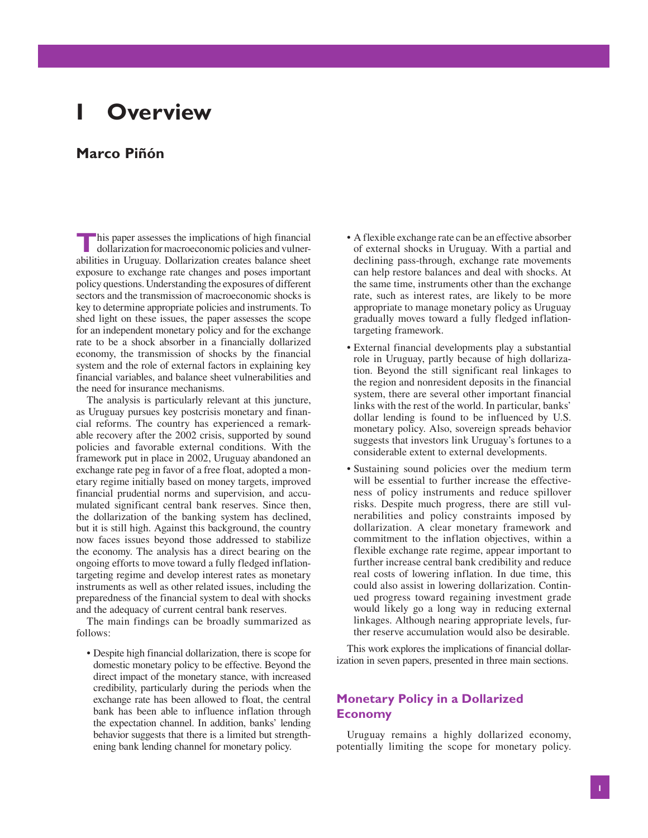# **I Overview**

## **Marco Piñón**

**This paper assesses the implications of high financial dollarization for macroeconomic policies and vulner**abilities in Uruguay. Dollarization creates balance sheet exposure to exchange rate changes and poses important policy questions. Understanding the exposures of different sectors and the transmission of macroeconomic shocks is key to determine appropriate policies and instruments. To shed light on these issues, the paper assesses the scope for an independent monetary policy and for the exchange rate to be a shock absorber in a financially dollarized economy, the transmission of shocks by the financial system and the role of external factors in explaining key financial variables, and balance sheet vulnerabilities and the need for insurance mechanisms.

The analysis is particularly relevant at this juncture, as Uruguay pursues key postcrisis monetary and financial reforms. The country has experienced a remarkable recovery after the 2002 crisis, supported by sound policies and favorable external conditions. With the framework put in place in 2002, Uruguay abandoned an exchange rate peg in favor of a free float, adopted a monetary regime initially based on money targets, improved financial prudential norms and supervision, and accumulated significant central bank reserves. Since then, the dollarization of the banking system has declined, but it is still high. Against this background, the country now faces issues beyond those addressed to stabilize the economy. The analysis has a direct bearing on the ongoing efforts to move toward a fully fledged inflationtargeting regime and develop interest rates as monetary instruments as well as other related issues, including the preparedness of the financial system to deal with shocks and the adequacy of current central bank reserves.

The main findings can be broadly summarized as follows:

• Despite high financial dollarization, there is scope for domestic monetary policy to be effective. Beyond the direct impact of the monetary stance, with increased credibility, particularly during the periods when the exchange rate has been allowed to float, the central bank has been able to influence inflation through the expectation channel. In addition, banks' lending behavior suggests that there is a limited but strengthening bank lending channel for monetary policy.

- A flexible exchange rate can be an effective absorber of external shocks in Uruguay. With a partial and declining pass-through, exchange rate movements can help restore balances and deal with shocks. At the same time, instruments other than the exchange rate, such as interest rates, are likely to be more appropriate to manage monetary policy as Uruguay gradually moves toward a fully fledged inflationtargeting framework.
- External financial developments play a substantial role in Uruguay, partly because of high dollarization. Beyond the still significant real linkages to the region and nonresident deposits in the financial system, there are several other important financial links with the rest of the world. In particular, banks' dollar lending is found to be influenced by U.S. monetary policy. Also, sovereign spreads behavior suggests that investors link Uruguay's fortunes to a considerable extent to external developments.
- Sustaining sound policies over the medium term will be essential to further increase the effectiveness of policy instruments and reduce spillover risks. Despite much progress, there are still vulnerabilities and policy constraints imposed by dollarization. A clear monetary framework and commitment to the inflation objectives, within a flexible exchange rate regime, appear important to further increase central bank credibility and reduce real costs of lowering inflation. In due time, this could also assist in lowering dollarization. Continued progress toward regaining investment grade would likely go a long way in reducing external linkages. Although nearing appropriate levels, further reserve accumulation would also be desirable.

This work explores the implications of financial dollarization in seven papers, presented in three main sections.

#### **Monetary Policy in a Dollarized Economy**

Uruguay remains a highly dollarized economy, potentially limiting the scope for monetary policy.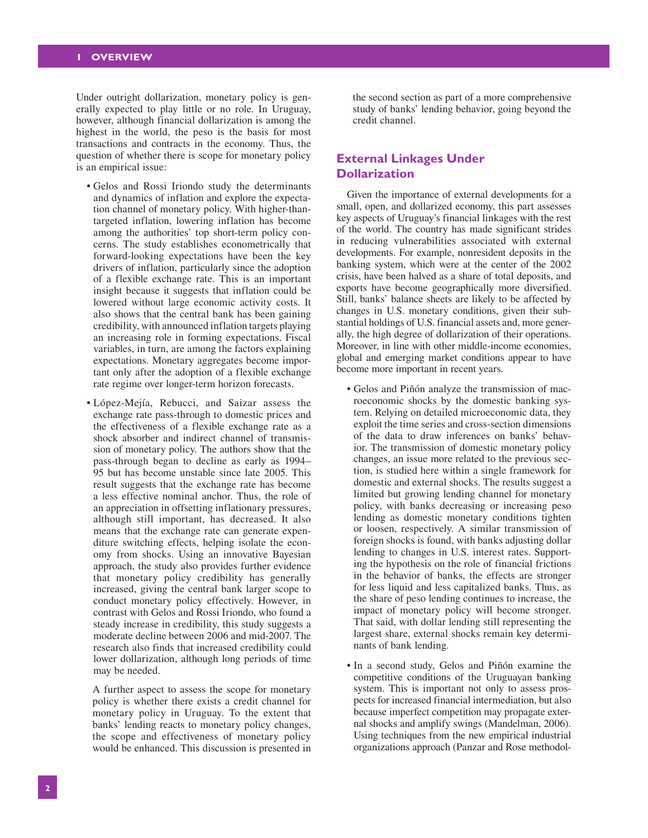Under outright dollarization, monetary policy is generally expected to play little or no role. In Uruguay, however, although financial dollarization is among the highest in the world, the peso is the basis for most transactions and contracts in the economy. Thus, the question of whether there is scope for monetary policy is an empirical issue:

- Gelos and Rossi Iriondo study the determinants and dynamics of inflation and explore the expectation channel of monetary policy. With higher-thantargeted inflation, lowering inflation has become among the authorities' top short-term policy concerns. The study establishes econometrically that forward-looking expectations have been the key drivers of inflation, particularly since the adoption of a flexible exchange rate. This is an important insight because it suggests that inflation could be lowered without large economic activity costs. It also shows that the central bank has been gaining credibility, with announced inflation targets playing an increasing role in forming expectations. Fiscal variables, in turn, are among the factors explaining expectations. Monetary aggregates become important only after the adoption of a flexible exchange rate regime over longer-term horizon forecasts.
- López-Mejía, Rebucci, and Saizar assess the exchange rate pass-through to domestic prices and the effectiveness of a flexible exchange rate as a shock absorber and indirect channel of transmission of monetary policy. The authors show that the pass-through began to decline as early as 1994– 95 but has become unstable since late 2005. This result suggests that the exchange rate has become a less effective nominal anchor. Thus, the role of an appreciation in offsetting inflationary pressures, although still important, has decreased. It also means that the exchange rate can generate expenditure switching effects, helping isolate the economy from shocks. Using an innovative Bayesian approach, the study also provides further evidence that monetary policy credibility has generally increased, giving the central bank larger scope to conduct monetary policy effectively. However, in contrast with Gelos and Rossi Iriondo, who found a steady increase in credibility, this study suggests a moderate decline between 2006 and mid-2007. The research also finds that increased credibility could lower dollarization, although long periods of time may be needed.

 A further aspect to assess the scope for monetary policy is whether there exists a credit channel for monetary policy in Uruguay. To the extent that banks' lending reacts to monetary policy changes, the scope and effectiveness of monetary policy would be enhanced. This discussion is presented in

the second section as part of a more comprehensive study of banks' lending behavior, going beyond the credit channel.

#### **External Linkages Under Dollarization**

Given the importance of external developments for a small, open, and dollarized economy, this part assesses key aspects of Uruguay's financial linkages with the rest of the world. The country has made significant strides in reducing vulnerabilities associated with external developments. For example, nonresident deposits in the banking system, which were at the center of the 2002 crisis, have been halved as a share of total deposits, and exports have become geographically more diversified. Still, banks' balance sheets are likely to be affected by changes in U.S. monetary conditions, given their substantial holdings of U.S. financial assets and, more generally, the high degree of dollarization of their operations. Moreover, in line with other middle-income economies, global and emerging market conditions appear to have become more important in recent years.

- Gelos and Piñón analyze the transmission of macroeconomic shocks by the domestic banking system. Relying on detailed microeconomic data, they exploit the time series and cross-section dimensions of the data to draw inferences on banks' behavior. The transmission of domestic monetary policy changes, an issue more related to the previous section, is studied here within a single framework for domestic and external shocks. The results suggest a limited but growing lending channel for monetary policy, with banks decreasing or increasing peso lending as domestic monetary conditions tighten or loosen, respectively. A similar transmission of foreign shocks is found, with banks adjusting dollar lending to changes in U.S. interest rates. Supporting the hypothesis on the role of financial frictions in the behavior of banks, the effects are stronger for less liquid and less capitalized banks. Thus, as the share of peso lending continues to increase, the impact of monetary policy will become stronger. That said, with dollar lending still representing the largest share, external shocks remain key determinants of bank lending.
- In a second study, Gelos and Piñón examine the competitive conditions of the Uruguayan banking system. This is important not only to assess prospects for increased financial intermediation, but also because imperfect competition may propagate external shocks and amplify swings (Mandelman, 2006). Using techniques from the new empirical industrial organizations approach (Panzar and Rose methodol-